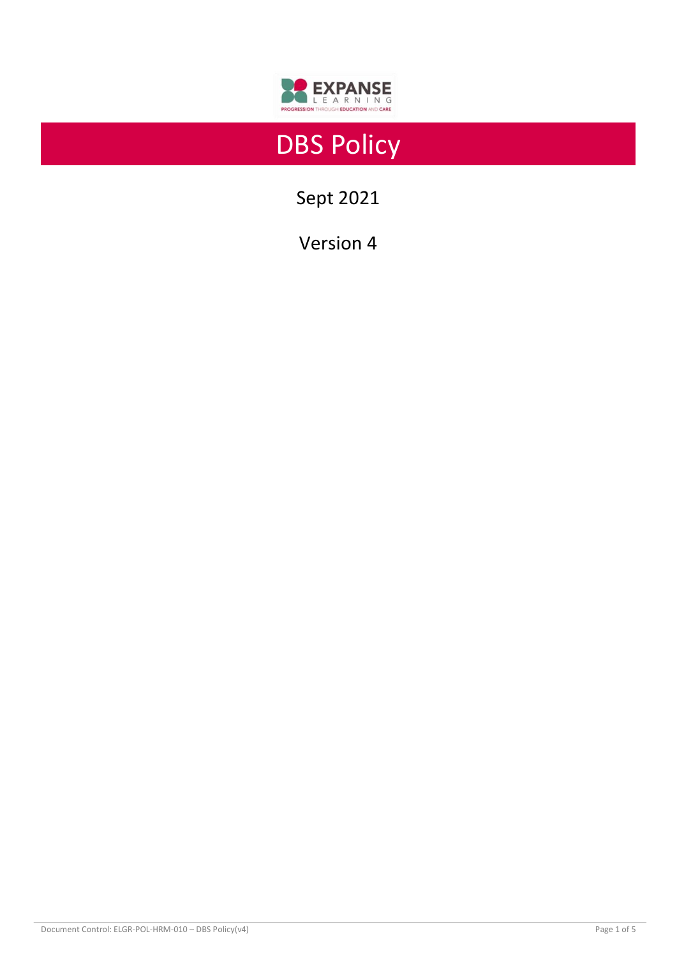

# DBS Policy

Sept 2021

Version 4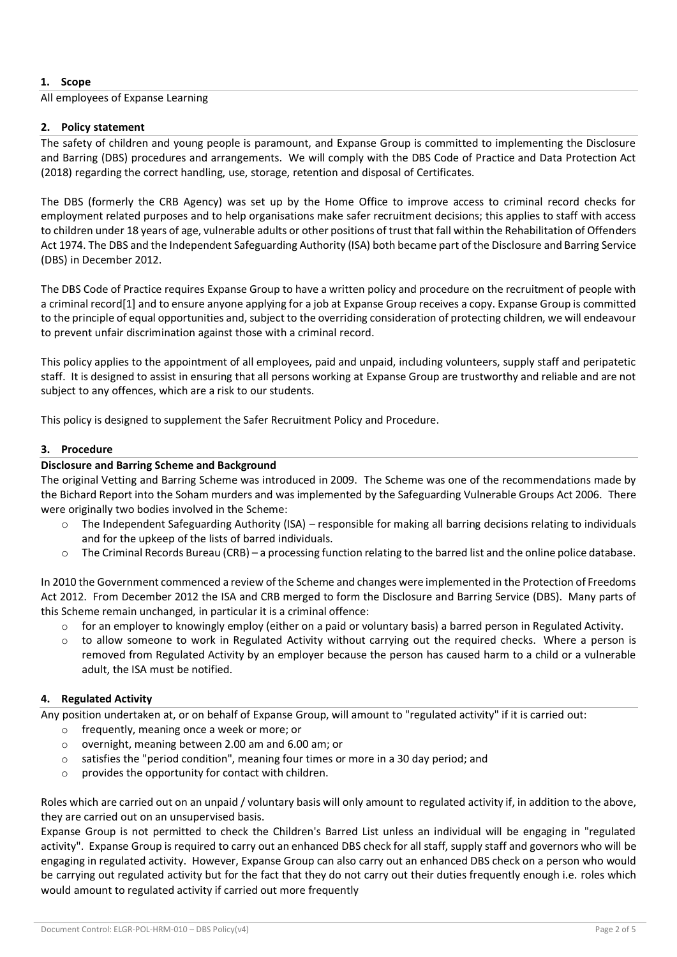# **1. Scope**

All employees of Expanse Learning

## **2. Policy statement**

The safety of children and young people is paramount, and Expanse Group is committed to implementing the Disclosure and Barring (DBS) procedures and arrangements. We will comply with the DBS Code of Practice and Data Protection Act (2018) regarding the correct handling, use, storage, retention and disposal of Certificates.

The DBS (formerly the CRB Agency) was set up by the Home Office to improve access to criminal record checks for employment related purposes and to help organisations make safer recruitment decisions; this applies to staff with access to children under 18 years of age, vulnerable adults or other positions of trust that fall within the Rehabilitation of Offenders Act 1974. The DBS and the Independent Safeguarding Authority (ISA) both became part of the Disclosure and Barring Service (DBS) in December 2012.

The DBS Code of Practice requires Expanse Group to have a written policy and procedure on the recruitment of people with a criminal record[1] and to ensure anyone applying for a job at Expanse Group receives a copy. Expanse Group is committed to the principle of equal opportunities and, subject to the overriding consideration of protecting children, we will endeavour to prevent unfair discrimination against those with a criminal record.

This policy applies to the appointment of all employees, paid and unpaid, including volunteers, supply staff and peripatetic staff. It is designed to assist in ensuring that all persons working at Expanse Group are trustworthy and reliable and are not subject to any offences, which are a risk to our students.

This policy is designed to supplement the Safer Recruitment Policy and Procedure.

# **3. Procedure**

# **Disclosure and Barring Scheme and Background**

The original Vetting and Barring Scheme was introduced in 2009. The Scheme was one of the recommendations made by the Bichard Report into the Soham murders and was implemented by the Safeguarding Vulnerable Groups Act 2006. There were originally two bodies involved in the Scheme:

- $\circ$  The Independent Safeguarding Authority (ISA) responsible for making all barring decisions relating to individuals and for the upkeep of the lists of barred individuals.
- $\circ$  The Criminal Records Bureau (CRB) a processing function relating to the barred list and the online police database.

In 2010 the Government commenced a review of the Scheme and changes were implemented in the Protection of Freedoms Act 2012. From December 2012 the ISA and CRB merged to form the Disclosure and Barring Service (DBS). Many parts of this Scheme remain unchanged, in particular it is a criminal offence:

- $\circ$  for an employer to knowingly employ (either on a paid or voluntary basis) a barred person in Regulated Activity.
- to allow someone to work in Regulated Activity without carrying out the required checks. Where a person is removed from Regulated Activity by an employer because the person has caused harm to a child or a vulnerable adult, the ISA must be notified.

## **4. Regulated Activity**

Any position undertaken at, or on behalf of Expanse Group, will amount to "regulated activity" if it is carried out:

- o frequently, meaning once a week or more; or
- o overnight, meaning between 2.00 am and 6.00 am; or
- o satisfies the "period condition", meaning four times or more in a 30 day period; and
- o provides the opportunity for contact with children.

Roles which are carried out on an unpaid / voluntary basis will only amount to regulated activity if, in addition to the above, they are carried out on an unsupervised basis.

Expanse Group is not permitted to check the Children's Barred List unless an individual will be engaging in "regulated activity". Expanse Group is required to carry out an enhanced DBS check for all staff, supply staff and governors who will be engaging in regulated activity. However, Expanse Group can also carry out an enhanced DBS check on a person who would be carrying out regulated activity but for the fact that they do not carry out their duties frequently enough i.e. roles which would amount to regulated activity if carried out more frequently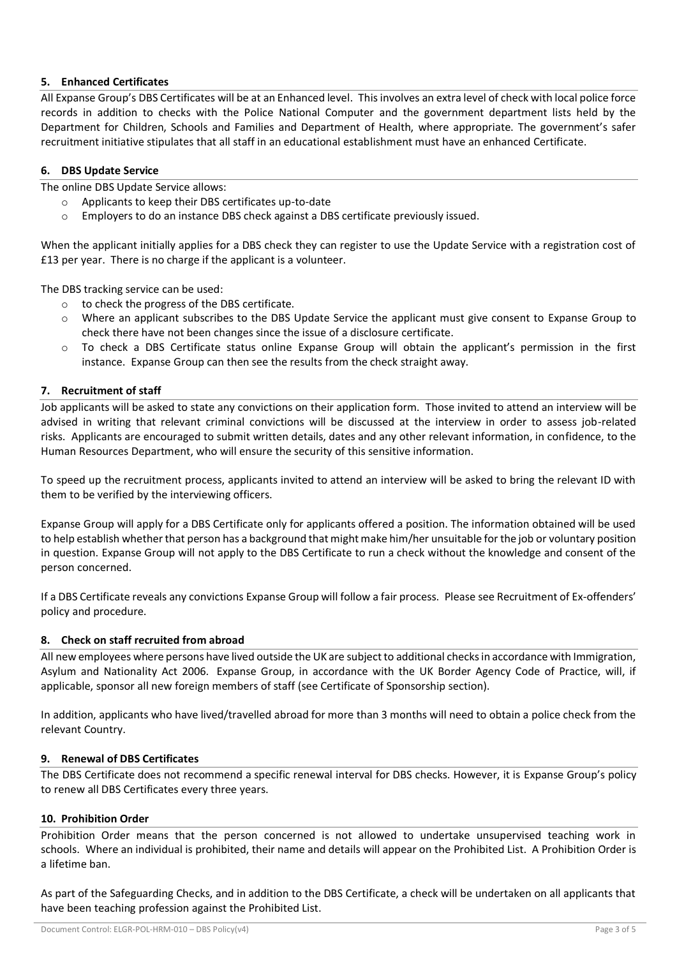# **5. Enhanced Certificates**

All Expanse Group's DBS Certificates will be at an Enhanced level. This involves an extra level of check with local police force records in addition to checks with the Police National Computer and the government department lists held by the Department for Children, Schools and Families and Department of Health, where appropriate. The government's safer recruitment initiative stipulates that all staff in an educational establishment must have an enhanced Certificate.

## **6. DBS Update Service**

The online DBS Update Service allows:

- o Applicants to keep their DBS certificates up-to-date
- o Employers to do an instance DBS check against a DBS certificate previously issued.

When the applicant initially applies for a DBS check they can register to use the Update Service with a registration cost of £13 per year. There is no charge if the applicant is a volunteer.

The DBS tracking service can be used:

- o to check the progress of the DBS certificate.
- o Where an applicant subscribes to the DBS Update Service the applicant must give consent to Expanse Group to check there have not been changes since the issue of a disclosure certificate.
- $\circ$  To check a DBS Certificate status online Expanse Group will obtain the applicant's permission in the first instance. Expanse Group can then see the results from the check straight away.

## **7. Recruitment of staff**

Job applicants will be asked to state any convictions on their application form. Those invited to attend an interview will be advised in writing that relevant criminal convictions will be discussed at the interview in order to assess job-related risks. Applicants are encouraged to submit written details, dates and any other relevant information, in confidence, to the Human Resources Department, who will ensure the security of this sensitive information.

To speed up the recruitment process, applicants invited to attend an interview will be asked to bring the relevant ID with them to be verified by the interviewing officers.

Expanse Group will apply for a DBS Certificate only for applicants offered a position. The information obtained will be used to help establish whether that person has a background that might make him/her unsuitable for the job or voluntary position in question. Expanse Group will not apply to the DBS Certificate to run a check without the knowledge and consent of the person concerned.

If a DBS Certificate reveals any convictions Expanse Group will follow a fair process. Please see Recruitment of Ex-offenders' policy and procedure.

## **8. Check on staff recruited from abroad**

All new employees where persons have lived outside the UK are subject to additional checks in accordance with Immigration, Asylum and Nationality Act 2006. Expanse Group, in accordance with the UK Border Agency Code of Practice, will, if applicable, sponsor all new foreign members of staff (see Certificate of Sponsorship section).

In addition, applicants who have lived/travelled abroad for more than 3 months will need to obtain a police check from the relevant Country.

## **9. Renewal of DBS Certificates**

The DBS Certificate does not recommend a specific renewal interval for DBS checks. However, it is Expanse Group's policy to renew all DBS Certificates every three years.

## **10. Prohibition Order**

Prohibition Order means that the person concerned is not allowed to undertake unsupervised teaching work in schools. Where an individual is prohibited, their name and details will appear on the Prohibited List. A Prohibition Order is a lifetime ban.

As part of the Safeguarding Checks, and in addition to the DBS Certificate, a check will be undertaken on all applicants that have been teaching profession against the Prohibited List.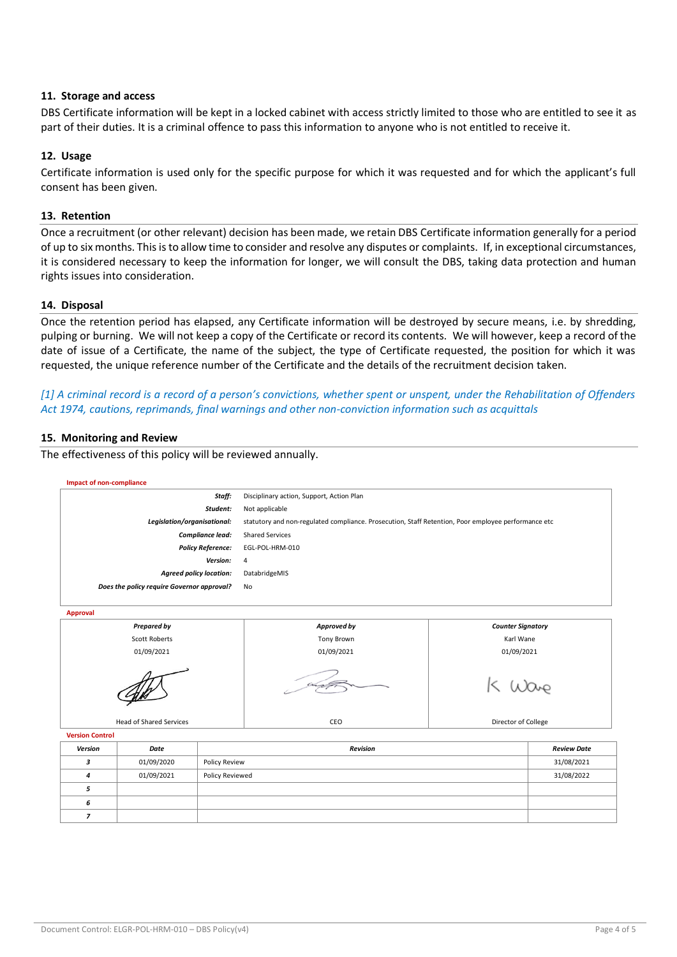### **11. Storage and access**

DBS Certificate information will be kept in a locked cabinet with access strictly limited to those who are entitled to see it as part of their duties. It is a criminal offence to pass this information to anyone who is not entitled to receive it.

### **12. Usage**

Certificate information is used only for the specific purpose for which it was requested and for which the applicant's full consent has been given.

#### **13. Retention**

Once a recruitment (or other relevant) decision has been made, we retain DBS Certificate information generally for a period of up to six months. This is to allow time to consider and resolve any disputes or complaints. If, in exceptional circumstances, it is considered necessary to keep the information for longer, we will consult the DBS, taking data protection and human rights issues into consideration.

#### **14. Disposal**

Once the retention period has elapsed, any Certificate information will be destroyed by secure means, i.e. by shredding, pulping or burning. We will not keep a copy of the Certificate or record its contents. We will however, keep a record of the date of issue of a Certificate, the name of the subject, the type of Certificate requested, the position for which it was requested, the unique reference number of the Certificate and the details of the recruitment decision taken.

# *[1] A criminal record is a record of a person's convictions, whether spent or unspent, under the Rehabilitation of Offenders Act 1974, cautions, reprimands, final warnings and other non-conviction information such as acquittals*

#### **15. Monitoring and Review**

The effectiveness of this policy will be reviewed annually.

| <b>Impact of non-compliance</b>            |            |                 |                                                                                                     |                          |                    |
|--------------------------------------------|------------|-----------------|-----------------------------------------------------------------------------------------------------|--------------------------|--------------------|
| Staff:                                     |            |                 | Disciplinary action, Support, Action Plan                                                           |                          |                    |
| Student:                                   |            |                 | Not applicable                                                                                      |                          |                    |
| Legislation/organisational:                |            |                 | statutory and non-regulated compliance. Prosecution, Staff Retention, Poor employee performance etc |                          |                    |
| Compliance lead:                           |            |                 | <b>Shared Services</b>                                                                              |                          |                    |
| <b>Policy Reference:</b>                   |            |                 | EGL-POL-HRM-010                                                                                     |                          |                    |
| Version:                                   |            |                 | 4                                                                                                   |                          |                    |
| <b>Agreed policy location:</b>             |            |                 | DatabridgeMIS                                                                                       |                          |                    |
| Does the policy require Governor approval? |            |                 | No                                                                                                  |                          |                    |
|                                            |            |                 |                                                                                                     |                          |                    |
| <b>Approval</b>                            |            |                 |                                                                                                     |                          |                    |
| <b>Prepared by</b>                         |            |                 | Approved by                                                                                         | <b>Counter Signatory</b> |                    |
| <b>Scott Roberts</b>                       |            |                 | <b>Tony Brown</b>                                                                                   | Karl Wane                |                    |
| 01/09/2021                                 |            |                 | 01/09/2021                                                                                          | 01/09/2021               |                    |
|                                            |            |                 |                                                                                                     |                          |                    |
| <b>Head of Shared Services</b>             |            |                 | CEO                                                                                                 | Director of College      |                    |
| <b>Version Control</b>                     |            |                 |                                                                                                     |                          |                    |
| Version                                    | Date       | Revision        |                                                                                                     |                          | <b>Review Date</b> |
| 3                                          | 01/09/2020 | Policy Review   |                                                                                                     |                          | 31/08/2021         |
| 4                                          | 01/09/2021 | Policy Reviewed |                                                                                                     |                          | 31/08/2022         |
| 5                                          |            |                 |                                                                                                     |                          |                    |
| 6                                          |            |                 |                                                                                                     |                          |                    |
| $\overline{z}$                             |            |                 |                                                                                                     |                          |                    |
|                                            |            |                 |                                                                                                     |                          |                    |